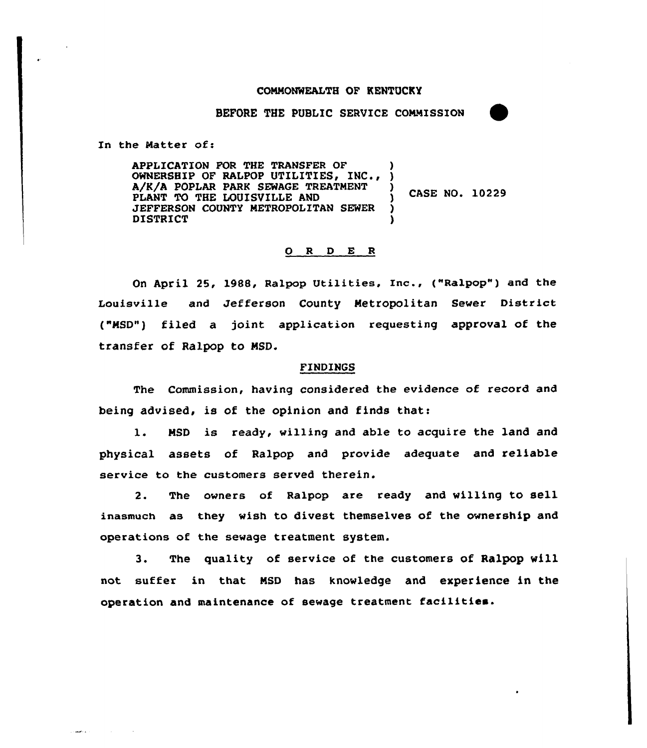## COMMONWEALTH OF KENTUCKY

BEFORE THE PUBLIC SERUICE COMMISSION

In the Matter of:

أأراد ويعطا

APPLICATION FOR THE TRANSFER OF APPLICATION FOR THE TRANSFER OF )<br>OWNERSHIP OF RALPOP UTILITIES, INC., ) A/K/A POPLAR PARK SEWAGE TREATMENT PLANT TO THE LOUISVILLE AND JEFFERSON COUNTY METROPOLITAN SEWER DISTRICT ) ) )

) CASE NO. 10229

## 0 <sup>R</sup> <sup>D</sup> E <sup>R</sup>

On April 25, 1988, Ralpop Utilities, Inc., ("Ralpop") and the Louisville and Jefferson County Metropolitan Sewer District ("MSD") filed a joint application requesting approval of the transfer of Ralpop to MSD.

## FINDINGS

The Commission, having considered the evidence of record and being advised, is of the opinion and finds that:

1. MSD is ready, willing and able to acquire the land and physical assets of Ralpop and provide adequate and reliable service to the customers served therein.

2. The owners of Ralpop are ready and willing to sell inasmuch as they wish to divest themselves of the ownership and operations of the sewage treatment system.

3. The quality of service of the customers of Ralpop will not suffer in that MSD has knowledge and experience in the operation and maintenance of sewage treatment facilities.